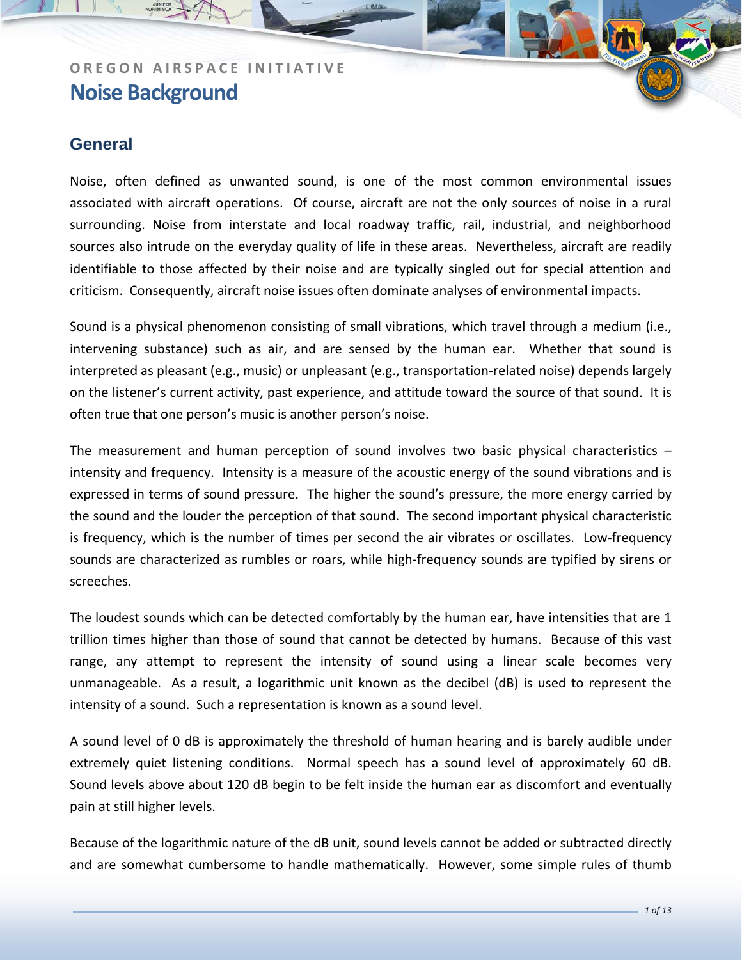### **General**

Noise, often defined as unwanted sound, is one of the most common environmental issues associated with aircraft operations. Of course, aircraft are not the only sources of noise in a rural surrounding. Noise from interstate and local roadway traffic, rail, industrial, and neighborhood sources also intrude on the everyday quality of life in these areas. Nevertheless, aircraft are readily identifiable to those affected by their noise and are typically singled out for special attention and criticism. Consequently, aircraft noise issues often dominate analyses of environmental impacts.

Sound is a physical phenomenon consisting of small vibrations, which travel through a medium (i.e., intervening substance) such as air, and are sensed by the human ear. Whether that sound is interpreted as pleasant (e.g., music) or unpleasant (e.g., transportation‐related noise) depends largely on the listener's current activity, past experience, and attitude toward the source of that sound. It is often true that one person's music is another person's noise.

The measurement and human perception of sound involves two basic physical characteristics – intensity and frequency. Intensity is a measure of the acoustic energy of the sound vibrations and is expressed in terms of sound pressure. The higher the sound's pressure, the more energy carried by the sound and the louder the perception of that sound. The second important physical characteristic is frequency, which is the number of times per second the air vibrates or oscillates. Low‐frequency sounds are characterized as rumbles or roars, while high-frequency sounds are typified by sirens or screeches.

The loudest sounds which can be detected comfortably by the human ear, have intensities that are 1 trillion times higher than those of sound that cannot be detected by humans. Because of this vast range, any attempt to represent the intensity of sound using a linear scale becomes very unmanageable. As a result, a logarithmic unit known as the decibel (dB) is used to represent the intensity of a sound. Such a representation is known as a sound level.

A sound level of 0 dB is approximately the threshold of human hearing and is barely audible under extremely quiet listening conditions. Normal speech has a sound level of approximately 60 dB. Sound levels above about 120 dB begin to be felt inside the human ear as discomfort and eventually pain at still higher levels.

Because of the logarithmic nature of the dB unit, sound levels cannot be added or subtracted directly and are somewhat cumbersome to handle mathematically. However, some simple rules of thumb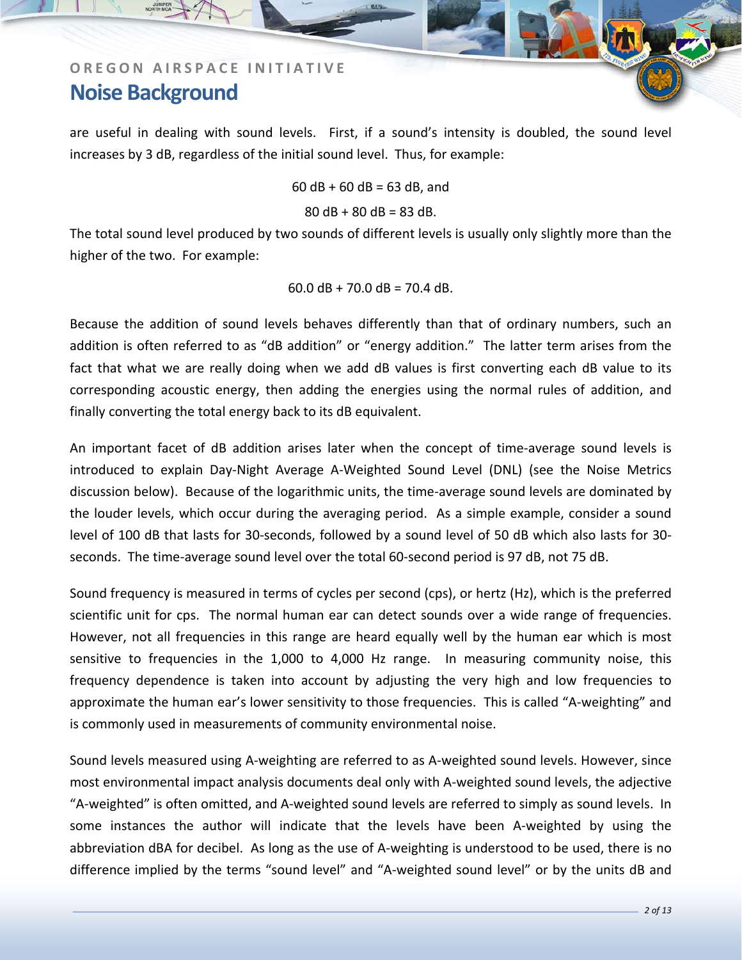are useful in dealing with sound levels. First, if a sound's intensity is doubled, the sound level increases by 3 dB, regardless of the initial sound level. Thus, for example:

 $60$  dB +  $60$  dB =  $63$  dB, and

#### $80$  dB +  $80$  dB =  $83$  dB.

The total sound level produced by two sounds of different levels is usually only slightly more than the higher of the two. For example:

 $60.0$  dB + 70.0 dB = 70.4 dB.

Because the addition of sound levels behaves differently than that of ordinary numbers, such an addition is often referred to as "dB addition" or "energy addition." The latter term arises from the fact that what we are really doing when we add dB values is first converting each dB value to its corresponding acoustic energy, then adding the energies using the normal rules of addition, and finally converting the total energy back to its dB equivalent.

An important facet of dB addition arises later when the concept of time-average sound levels is introduced to explain Day‐Night Average A‐Weighted Sound Level (DNL) (see the Noise Metrics discussion below). Because of the logarithmic units, the time‐average sound levels are dominated by the louder levels, which occur during the averaging period. As a simple example, consider a sound level of 100 dB that lasts for 30‐seconds, followed by a sound level of 50 dB which also lasts for 30‐ seconds. The time‐average sound level over the total 60‐second period is 97 dB, not 75 dB.

Sound frequency is measured in terms of cycles per second (cps), or hertz (Hz), which is the preferred scientific unit for cps. The normal human ear can detect sounds over a wide range of frequencies. However, not all frequencies in this range are heard equally well by the human ear which is most sensitive to frequencies in the 1,000 to 4,000 Hz range. In measuring community noise, this frequency dependence is taken into account by adjusting the very high and low frequencies to approximate the human ear's lower sensitivity to those frequencies. This is called "A-weighting" and is commonly used in measurements of community environmental noise.

Sound levels measured using A‐weighting are referred to as A‐weighted sound levels. However, since most environmental impact analysis documents deal only with A‐weighted sound levels, the adjective "A‐weighted" is often omitted, and A‐weighted sound levels are referred to simply as sound levels. In some instances the author will indicate that the levels have been A-weighted by using the abbreviation dBA for decibel. As long as the use of A‐weighting is understood to be used, there is no difference implied by the terms "sound level" and "A‐weighted sound level" or by the units dB and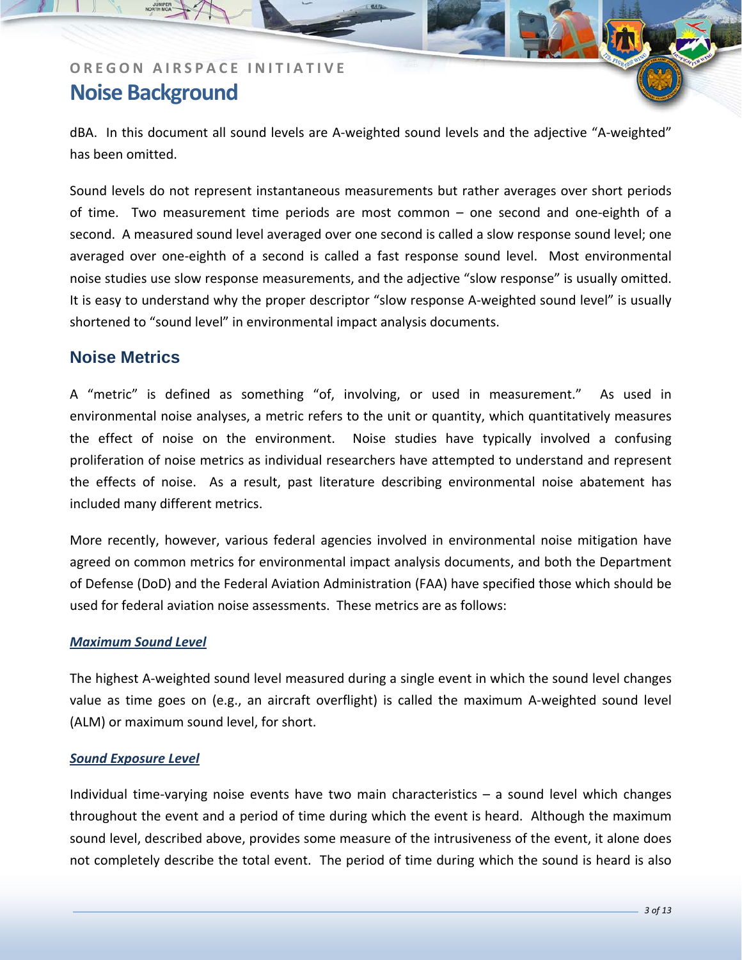dBA. In this document all sound levels are A-weighted sound levels and the adjective "A-weighted" has been omitted.

Sound levels do not represent instantaneous measurements but rather averages over short periods of time. Two measurement time periods are most common – one second and one-eighth of a second. A measured sound level averaged over one second is called a slow response sound level; one averaged over one-eighth of a second is called a fast response sound level. Most environmental noise studies use slow response measurements, and the adjective "slow response" is usually omitted. It is easy to understand why the proper descriptor "slow response A-weighted sound level" is usually shortened to "sound level" in environmental impact analysis documents.

### **Noise Metrics**

A "metric" is defined as something "of, involving, or used in measurement." As used in environmental noise analyses, a metric refers to the unit or quantity, which quantitatively measures the effect of noise on the environment. Noise studies have typically involved a confusing proliferation of noise metrics as individual researchers have attempted to understand and represent the effects of noise. As a result, past literature describing environmental noise abatement has included many different metrics.

More recently, however, various federal agencies involved in environmental noise mitigation have agreed on common metrics for environmental impact analysis documents, and both the Department of Defense (DoD) and the Federal Aviation Administration (FAA) have specified those which should be used for federal aviation noise assessments. These metrics are as follows:

#### *Maximum Sound Level*

The highest A‐weighted sound level measured during a single event in which the sound level changes value as time goes on (e.g., an aircraft overflight) is called the maximum A-weighted sound level (ALM) or maximum sound level, for short.

#### *Sound Exposure Level*

Individual time‐varying noise events have two main characteristics – a sound level which changes throughout the event and a period of time during which the event is heard. Although the maximum sound level, described above, provides some measure of the intrusiveness of the event, it alone does not completely describe the total event. The period of time during which the sound is heard is also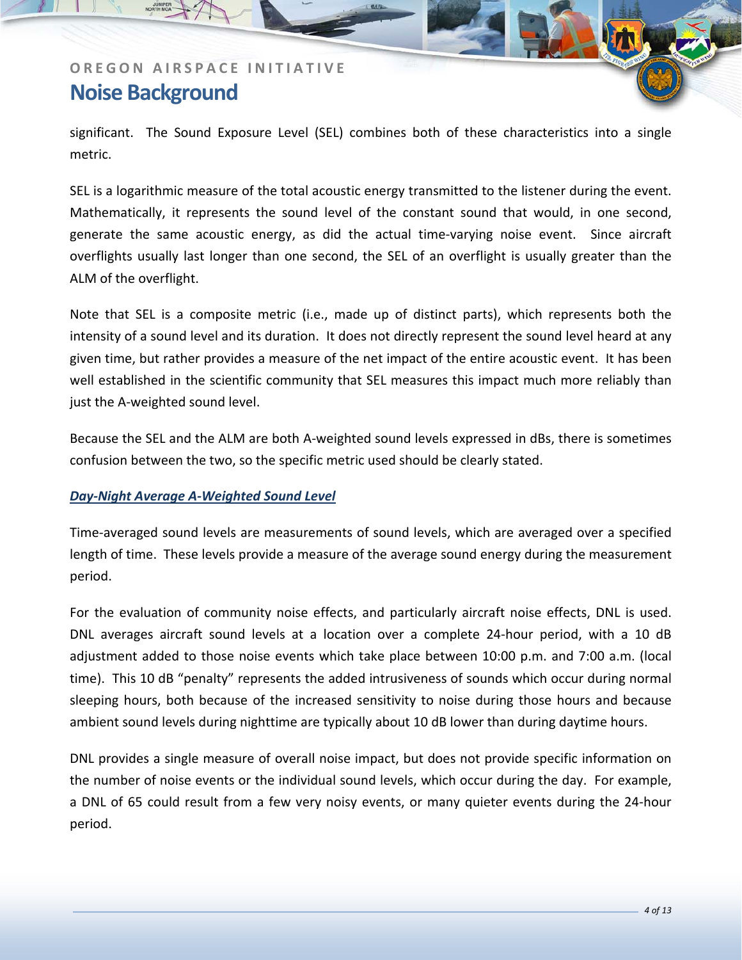significant. The Sound Exposure Level (SEL) combines both of these characteristics into a single metric.

SEL is a logarithmic measure of the total acoustic energy transmitted to the listener during the event. Mathematically, it represents the sound level of the constant sound that would, in one second, generate the same acoustic energy, as did the actual time-varying noise event. Since aircraft overflights usually last longer than one second, the SEL of an overflight is usually greater than the ALM of the overflight.

Note that SEL is a composite metric (i.e., made up of distinct parts), which represents both the intensity of a sound level and its duration. It does not directly represent the sound level heard at any given time, but rather provides a measure of the net impact of the entire acoustic event. It has been well established in the scientific community that SEL measures this impact much more reliably than just the A‐weighted sound level.

Because the SEL and the ALM are both A-weighted sound levels expressed in dBs, there is sometimes confusion between the two, so the specific metric used should be clearly stated.

### *Day‐Night Average A‐Weighted Sound Level*

Time‐averaged sound levels are measurements of sound levels, which are averaged over a specified length of time. These levels provide a measure of the average sound energy during the measurement period.

For the evaluation of community noise effects, and particularly aircraft noise effects, DNL is used. DNL averages aircraft sound levels at a location over a complete 24‐hour period, with a 10 dB adjustment added to those noise events which take place between 10:00 p.m. and 7:00 a.m. (local time). This 10 dB "penalty" represents the added intrusiveness of sounds which occur during normal sleeping hours, both because of the increased sensitivity to noise during those hours and because ambient sound levels during nighttime are typically about 10 dB lower than during daytime hours.

DNL provides a single measure of overall noise impact, but does not provide specific information on the number of noise events or the individual sound levels, which occur during the day. For example, a DNL of 65 could result from a few very noisy events, or many quieter events during the 24‐hour period.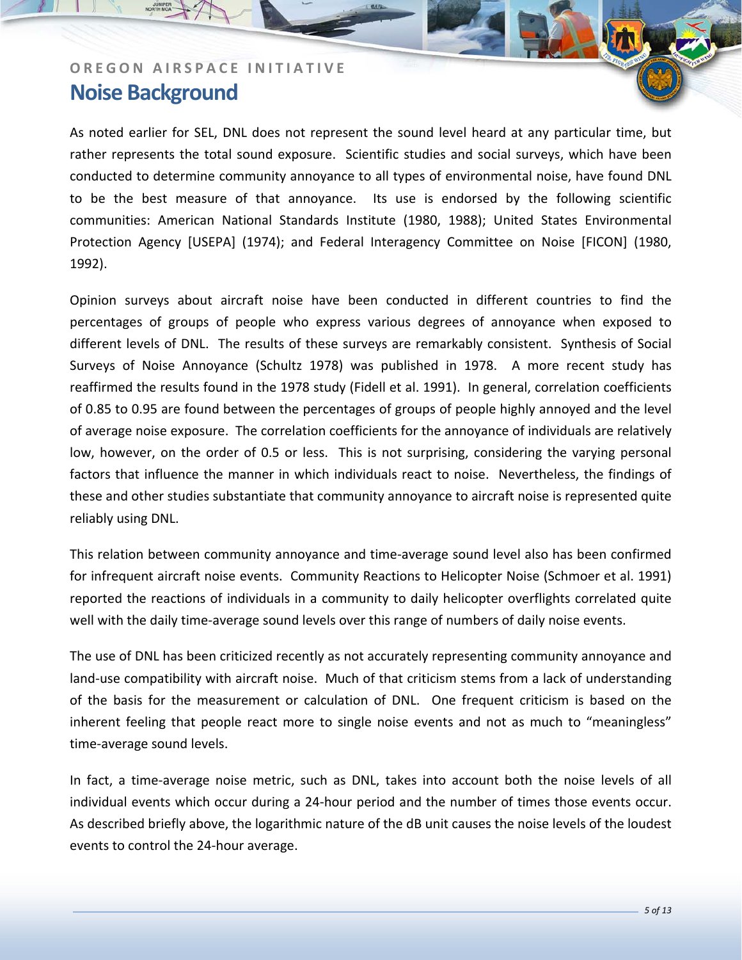As noted earlier for SEL, DNL does not represent the sound level heard at any particular time, but rather represents the total sound exposure. Scientific studies and social surveys, which have been conducted to determine community annoyance to all types of environmental noise, have found DNL to be the best measure of that annoyance. Its use is endorsed by the following scientific communities: American National Standards Institute (1980, 1988); United States Environmental Protection Agency [USEPA] (1974); and Federal Interagency Committee on Noise [FICON] (1980, 1992).

Opinion surveys about aircraft noise have been conducted in different countries to find the percentages of groups of people who express various degrees of annoyance when exposed to different levels of DNL. The results of these surveys are remarkably consistent. Synthesis of Social Surveys of Noise Annoyance (Schultz 1978) was published in 1978. A more recent study has reaffirmed the results found in the 1978 study (Fidell et al. 1991). In general, correlation coefficients of 0.85 to 0.95 are found between the percentages of groups of people highly annoyed and the level of average noise exposure. The correlation coefficients for the annoyance of individuals are relatively low, however, on the order of 0.5 or less. This is not surprising, considering the varying personal factors that influence the manner in which individuals react to noise. Nevertheless, the findings of these and other studies substantiate that community annoyance to aircraft noise is represented quite reliably using DNL.

This relation between community annoyance and time‐average sound level also has been confirmed for infrequent aircraft noise events. Community Reactions to Helicopter Noise (Schmoer et al. 1991) reported the reactions of individuals in a community to daily helicopter overflights correlated quite well with the daily time-average sound levels over this range of numbers of daily noise events.

The use of DNL has been criticized recently as not accurately representing community annoyance and land-use compatibility with aircraft noise. Much of that criticism stems from a lack of understanding of the basis for the measurement or calculation of DNL. One frequent criticism is based on the inherent feeling that people react more to single noise events and not as much to "meaningless" time‐average sound levels.

In fact, a time-average noise metric, such as DNL, takes into account both the noise levels of all individual events which occur during a 24‐hour period and the number of times those events occur. As described briefly above, the logarithmic nature of the dB unit causes the noise levels of the loudest events to control the 24‐hour average.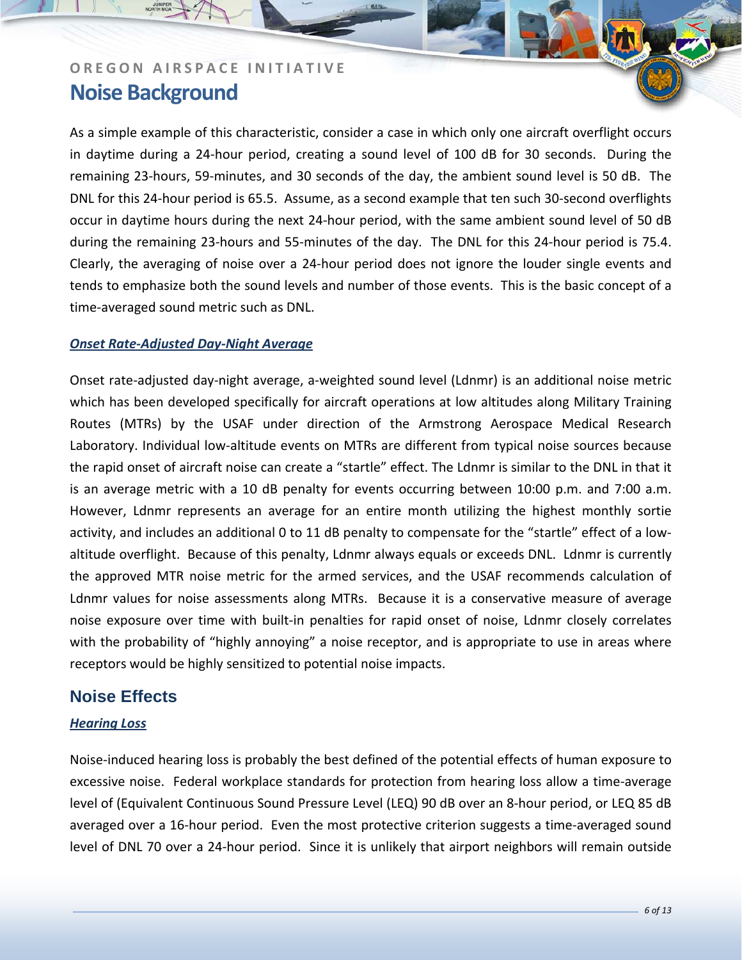As a simple example of this characteristic, consider a case in which only one aircraft overflight occurs in daytime during a 24‐hour period, creating a sound level of 100 dB for 30 seconds. During the remaining 23‐hours, 59‐minutes, and 30 seconds of the day, the ambient sound level is 50 dB. The DNL for this 24‐hour period is 65.5. Assume, as a second example that ten such 30‐second overflights occur in daytime hours during the next 24‐hour period, with the same ambient sound level of 50 dB during the remaining 23‐hours and 55‐minutes of the day. The DNL for this 24‐hour period is 75.4. Clearly, the averaging of noise over a 24‐hour period does not ignore the louder single events and tends to emphasize both the sound levels and number of those events. This is the basic concept of a time‐averaged sound metric such as DNL.

### *Onset Rate‐Adjusted Day‐Night Average*

Onset rate-adjusted day-night average, a-weighted sound level (Ldnmr) is an additional noise metric which has been developed specifically for aircraft operations at low altitudes along Military Training Routes (MTRs) by the USAF under direction of the Armstrong Aerospace Medical Research Laboratory. Individual low-altitude events on MTRs are different from typical noise sources because the rapid onset of aircraft noise can create a "startle" effect. The Ldnmr is similar to the DNL in that it is an average metric with a 10 dB penalty for events occurring between 10:00 p.m. and 7:00 a.m. However, Ldnmr represents an average for an entire month utilizing the highest monthly sortie activity, and includes an additional 0 to 11 dB penalty to compensate for the "startle" effect of a lowaltitude overflight. Because of this penalty, Ldnmr always equals or exceeds DNL. Ldnmr is currently the approved MTR noise metric for the armed services, and the USAF recommends calculation of Ldnmr values for noise assessments along MTRs. Because it is a conservative measure of average noise exposure over time with built‐in penalties for rapid onset of noise, Ldnmr closely correlates with the probability of "highly annoying" a noise receptor, and is appropriate to use in areas where receptors would be highly sensitized to potential noise impacts.

### **Noise Effects**

### *Hearing Loss*

Noise‐induced hearing loss is probably the best defined of the potential effects of human exposure to excessive noise. Federal workplace standards for protection from hearing loss allow a time‐average level of (Equivalent Continuous Sound Pressure Level (LEQ) 90 dB over an 8‐hour period, or LEQ 85 dB averaged over a 16‐hour period. Even the most protective criterion suggests a time‐averaged sound level of DNL 70 over a 24‐hour period. Since it is unlikely that airport neighbors will remain outside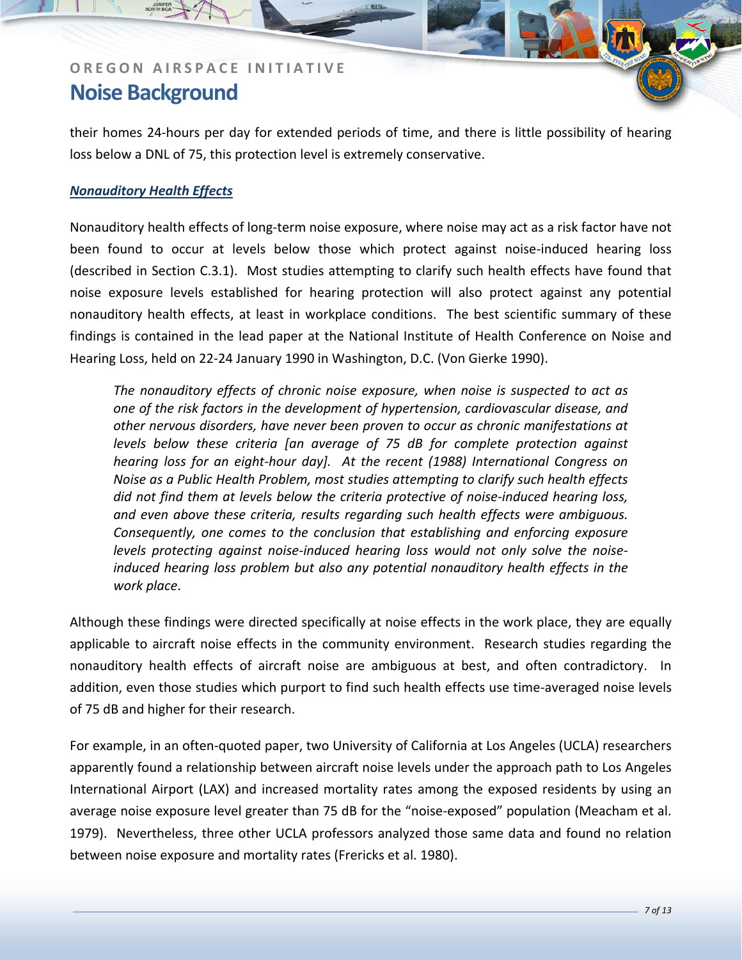their homes 24‐hours per day for extended periods of time, and there is little possibility of hearing loss below a DNL of 75, this protection level is extremely conservative.

### *Nonauditory Health Effects*

Nonauditory health effects of long‐term noise exposure, where noise may act as a risk factor have not been found to occur at levels below those which protect against noise-induced hearing loss (described in Section C.3.1). Most studies attempting to clarify such health effects have found that noise exposure levels established for hearing protection will also protect against any potential nonauditory health effects, at least in workplace conditions. The best scientific summary of these findings is contained in the lead paper at the National Institute of Health Conference on Noise and Hearing Loss, held on 22‐24 January 1990 in Washington, D.C. (Von Gierke 1990).

*The nonauditory effects of chronic noise exposure, when noise is suspected to act as one of the risk factors in the development of hypertension, cardiovascular disease, and other nervous disorders, have never been proven to occur as chronic manifestations at levels below these criteria [an average of 75 dB for complete protection against hearing loss for an eight‐hour day]. At the recent (1988) International Congress on Noise as a Public Health Problem, most studies attempting to clarify such health effects did not find them at levels below the criteria protective of noise‐induced hearing loss, and even above these criteria, results regarding such health effects were ambiguous. Consequently, one comes to the conclusion that establishing and enforcing exposure levels protecting against noise‐induced hearing loss would not only solve the noise‐ induced hearing loss problem but also any potential nonauditory health effects in the work place*.

Although these findings were directed specifically at noise effects in the work place, they are equally applicable to aircraft noise effects in the community environment. Research studies regarding the nonauditory health effects of aircraft noise are ambiguous at best, and often contradictory. In addition, even those studies which purport to find such health effects use time‐averaged noise levels of 75 dB and higher for their research.

For example, in an often‐quoted paper, two University of California at Los Angeles (UCLA) researchers apparently found a relationship between aircraft noise levels under the approach path to Los Angeles International Airport (LAX) and increased mortality rates among the exposed residents by using an average noise exposure level greater than 75 dB for the "noise‐exposed" population (Meacham et al. 1979). Nevertheless, three other UCLA professors analyzed those same data and found no relation between noise exposure and mortality rates (Frericks et al. 1980).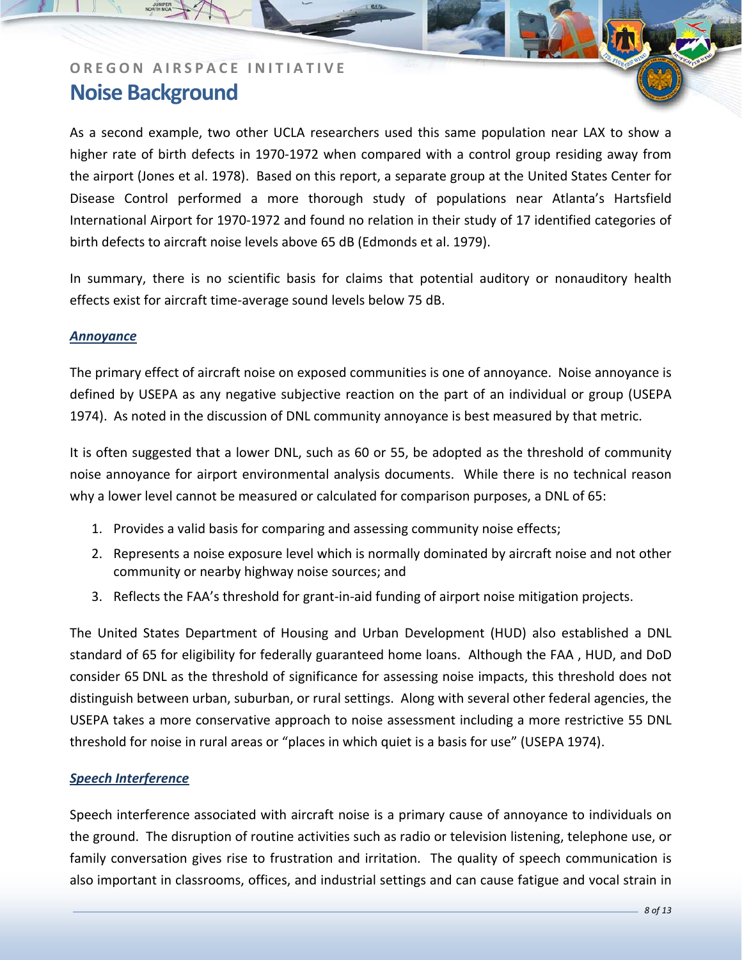As a second example, two other UCLA researchers used this same population near LAX to show a higher rate of birth defects in 1970‐1972 when compared with a control group residing away from the airport (Jones et al. 1978). Based on this report, a separate group at the United States Center for Disease Control performed a more thorough study of populations near Atlanta's Hartsfield International Airport for 1970‐1972 and found no relation in their study of 17 identified categories of birth defects to aircraft noise levels above 65 dB (Edmonds et al. 1979).

In summary, there is no scientific basis for claims that potential auditory or nonauditory health effects exist for aircraft time‐average sound levels below 75 dB.

#### *Annoyance*

The primary effect of aircraft noise on exposed communities is one of annoyance. Noise annoyance is defined by USEPA as any negative subjective reaction on the part of an individual or group (USEPA 1974). As noted in the discussion of DNL community annoyance is best measured by that metric.

It is often suggested that a lower DNL, such as 60 or 55, be adopted as the threshold of community noise annoyance for airport environmental analysis documents. While there is no technical reason why a lower level cannot be measured or calculated for comparison purposes, a DNL of 65:

- 1. Provides a valid basis for comparing and assessing community noise effects;
- 2. Represents a noise exposure level which is normally dominated by aircraft noise and not other community or nearby highway noise sources; and
- 3. Reflects the FAA's threshold for grant‐in‐aid funding of airport noise mitigation projects.

The United States Department of Housing and Urban Development (HUD) also established a DNL standard of 65 for eligibility for federally guaranteed home loans. Although the FAA , HUD, and DoD consider 65 DNL as the threshold of significance for assessing noise impacts, this threshold does not distinguish between urban, suburban, or rural settings. Along with several other federal agencies, the USEPA takes a more conservative approach to noise assessment including a more restrictive 55 DNL threshold for noise in rural areas or "places in which quiet is a basis for use" (USEPA 1974).

#### *Speech Interference*

Speech interference associated with aircraft noise is a primary cause of annoyance to individuals on the ground. The disruption of routine activities such as radio or television listening, telephone use, or family conversation gives rise to frustration and irritation. The quality of speech communication is also important in classrooms, offices, and industrial settings and can cause fatigue and vocal strain in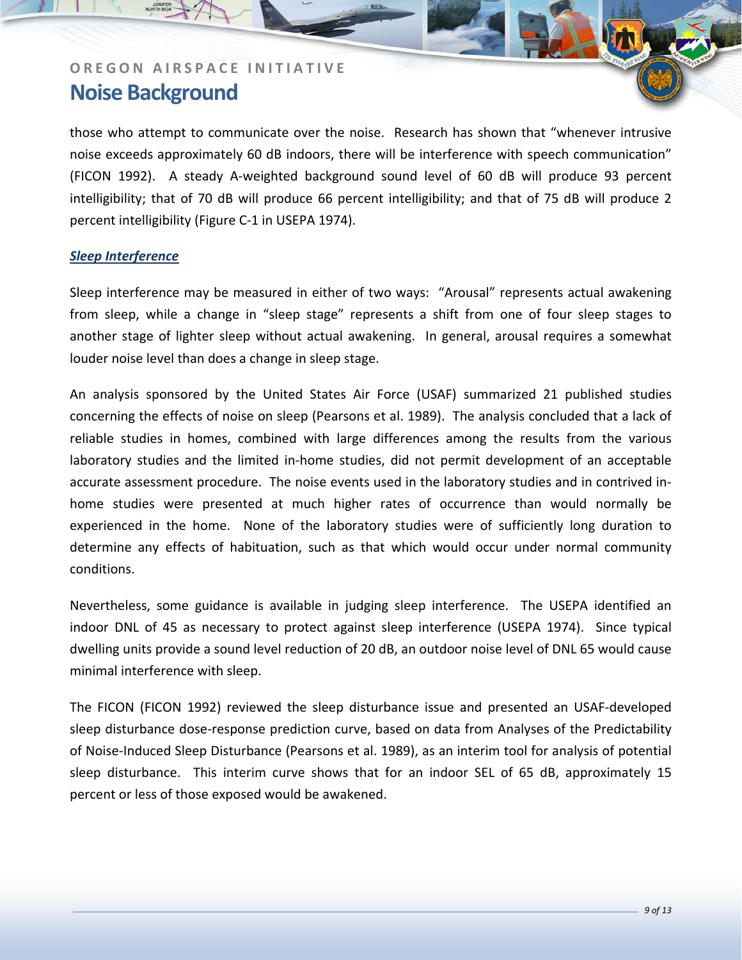those who attempt to communicate over the noise. Research has shown that "whenever intrusive noise exceeds approximately 60 dB indoors, there will be interference with speech communication" (FICON 1992). A steady A‐weighted background sound level of 60 dB will produce 93 percent intelligibility; that of 70 dB will produce 66 percent intelligibility; and that of 75 dB will produce 2 percent intelligibility (Figure C‐1 in USEPA 1974).

### *Sleep Interference*

Sleep interference may be measured in either of two ways: "Arousal" represents actual awakening from sleep, while a change in "sleep stage" represents a shift from one of four sleep stages to another stage of lighter sleep without actual awakening. In general, arousal requires a somewhat louder noise level than does a change in sleep stage.

An analysis sponsored by the United States Air Force (USAF) summarized 21 published studies concerning the effects of noise on sleep (Pearsons et al. 1989). The analysis concluded that a lack of reliable studies in homes, combined with large differences among the results from the various laboratory studies and the limited in‐home studies, did not permit development of an acceptable accurate assessment procedure. The noise events used in the laboratory studies and in contrived in‐ home studies were presented at much higher rates of occurrence than would normally be experienced in the home. None of the laboratory studies were of sufficiently long duration to determine any effects of habituation, such as that which would occur under normal community conditions.

Nevertheless, some guidance is available in judging sleep interference. The USEPA identified an indoor DNL of 45 as necessary to protect against sleep interference (USEPA 1974). Since typical dwelling units provide a sound level reduction of 20 dB, an outdoor noise level of DNL 65 would cause minimal interference with sleep.

The FICON (FICON 1992) reviewed the sleep disturbance issue and presented an USAF‐developed sleep disturbance dose-response prediction curve, based on data from Analyses of the Predictability of Noise‐Induced Sleep Disturbance (Pearsons et al. 1989), as an interim tool for analysis of potential sleep disturbance. This interim curve shows that for an indoor SEL of 65 dB, approximately 15 percent or less of those exposed would be awakened.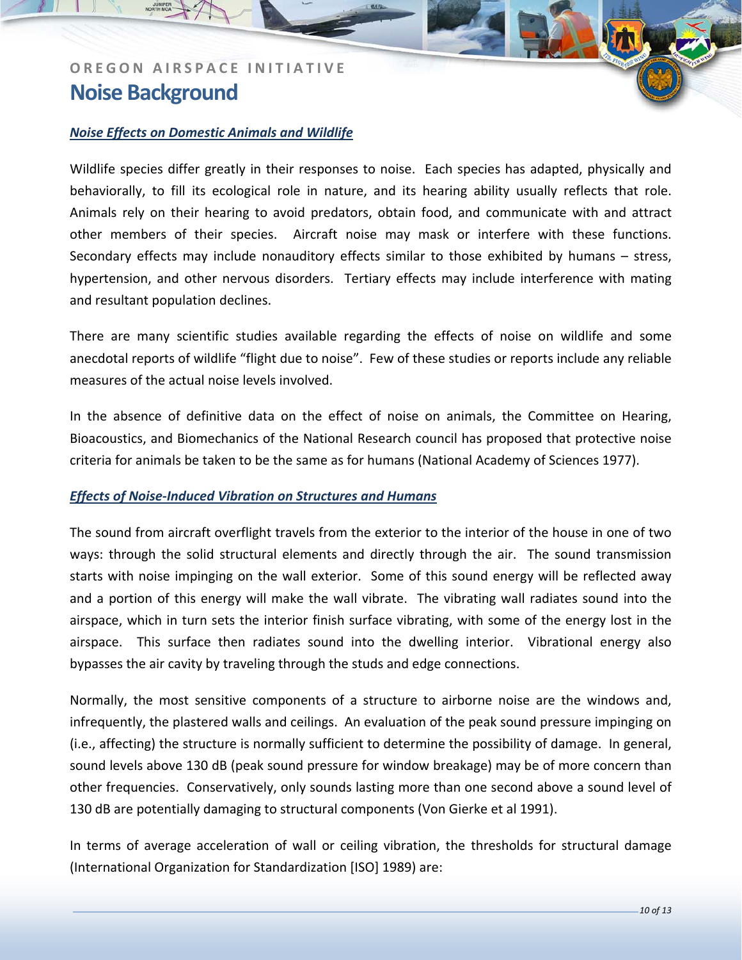### *Noise Effects on Domestic Animals and Wildlife*

Wildlife species differ greatly in their responses to noise. Each species has adapted, physically and behaviorally, to fill its ecological role in nature, and its hearing ability usually reflects that role. Animals rely on their hearing to avoid predators, obtain food, and communicate with and attract other members of their species. Aircraft noise may mask or interfere with these functions. Secondary effects may include nonauditory effects similar to those exhibited by humans – stress, hypertension, and other nervous disorders. Tertiary effects may include interference with mating and resultant population declines.

There are many scientific studies available regarding the effects of noise on wildlife and some anecdotal reports of wildlife "flight due to noise". Few of these studies or reports include any reliable measures of the actual noise levels involved.

In the absence of definitive data on the effect of noise on animals, the Committee on Hearing, Bioacoustics, and Biomechanics of the National Research council has proposed that protective noise criteria for animals be taken to be the same as for humans (National Academy of Sciences 1977).

#### *Effects of Noise‐Induced Vibration on Structures and Humans*

The sound from aircraft overflight travels from the exterior to the interior of the house in one of two ways: through the solid structural elements and directly through the air. The sound transmission starts with noise impinging on the wall exterior. Some of this sound energy will be reflected away and a portion of this energy will make the wall vibrate. The vibrating wall radiates sound into the airspace, which in turn sets the interior finish surface vibrating, with some of the energy lost in the airspace. This surface then radiates sound into the dwelling interior. Vibrational energy also bypasses the air cavity by traveling through the studs and edge connections.

Normally, the most sensitive components of a structure to airborne noise are the windows and, infrequently, the plastered walls and ceilings. An evaluation of the peak sound pressure impinging on (i.e., affecting) the structure is normally sufficient to determine the possibility of damage. In general, sound levels above 130 dB (peak sound pressure for window breakage) may be of more concern than other frequencies. Conservatively, only sounds lasting more than one second above a sound level of 130 dB are potentially damaging to structural components (Von Gierke et al 1991).

In terms of average acceleration of wall or ceiling vibration, the thresholds for structural damage (International Organization for Standardization [ISO] 1989) are: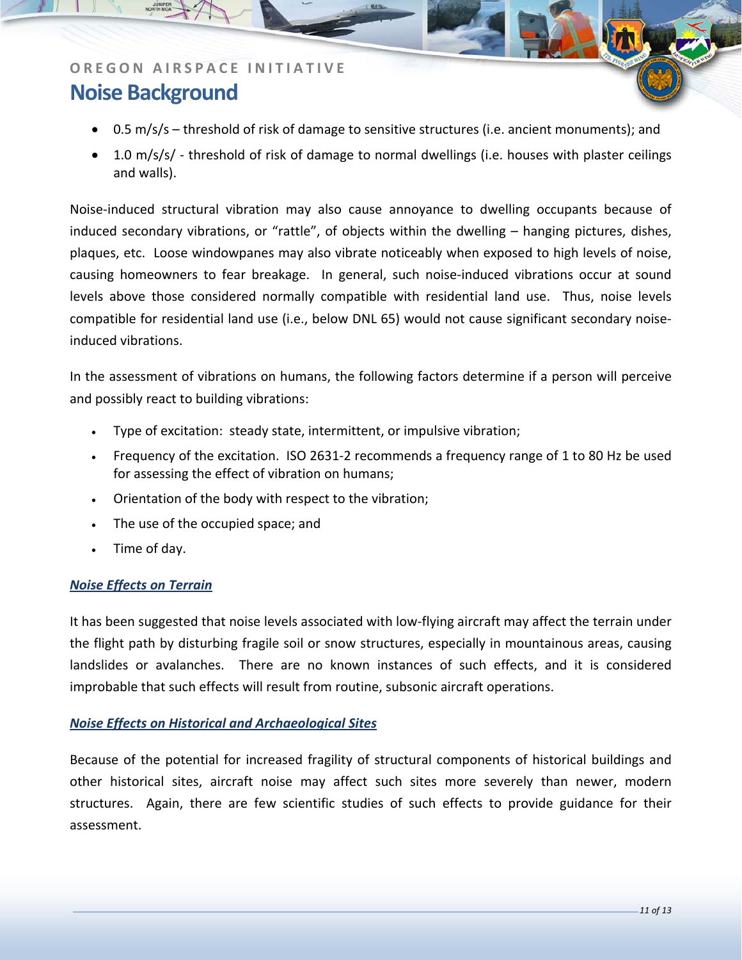- 0.5 m/s/s threshold of risk of damage to sensitive structures (i.e. ancient monuments); and
- 1.0 m/s/s/ threshold of risk of damage to normal dwellings (i.e. houses with plaster ceilings and walls).

Noise‐induced structural vibration may also cause annoyance to dwelling occupants because of induced secondary vibrations, or "rattle", of objects within the dwelling – hanging pictures, dishes, plaques, etc. Loose windowpanes may also vibrate noticeably when exposed to high levels of noise, causing homeowners to fear breakage. In general, such noise‐induced vibrations occur at sound levels above those considered normally compatible with residential land use. Thus, noise levels compatible for residential land use (i.e., below DNL 65) would not cause significant secondary noise‐ induced vibrations.

In the assessment of vibrations on humans, the following factors determine if a person will perceive and possibly react to building vibrations:

- Type of excitation: steady state, intermittent, or impulsive vibration;
- Frequency of the excitation. ISO 2631-2 recommends a frequency range of 1 to 80 Hz be used for assessing the effect of vibration on humans;
- Orientation of the body with respect to the vibration;
- The use of the occupied space; and
- Time of day.

#### *Noise Effects on Terrain*

It has been suggested that noise levels associated with low‐flying aircraft may affect the terrain under the flight path by disturbing fragile soil or snow structures, especially in mountainous areas, causing landslides or avalanches. There are no known instances of such effects, and it is considered improbable that such effects will result from routine, subsonic aircraft operations.

#### *Noise Effects on Historical and Archaeological Sites*

Because of the potential for increased fragility of structural components of historical buildings and other historical sites, aircraft noise may affect such sites more severely than newer, modern structures. Again, there are few scientific studies of such effects to provide guidance for their assessment.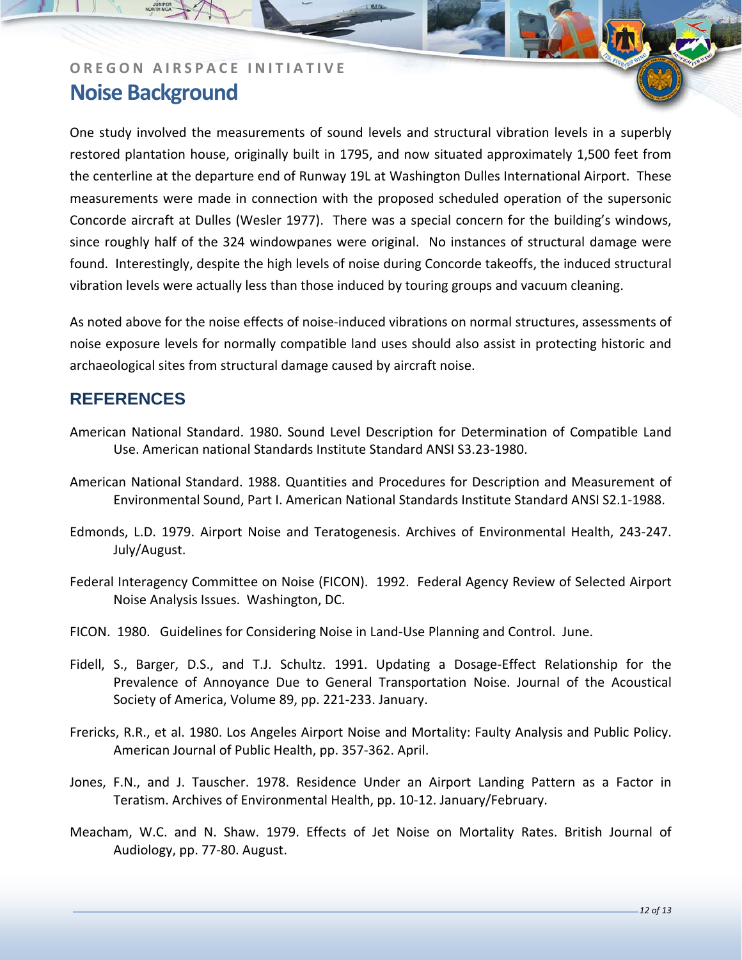One study involved the measurements of sound levels and structural vibration levels in a superbly restored plantation house, originally built in 1795, and now situated approximately 1,500 feet from the centerline at the departure end of Runway 19L at Washington Dulles International Airport. These measurements were made in connection with the proposed scheduled operation of the supersonic Concorde aircraft at Dulles (Wesler 1977). There was a special concern for the building's windows, since roughly half of the 324 windowpanes were original. No instances of structural damage were found. Interestingly, despite the high levels of noise during Concorde takeoffs, the induced structural vibration levels were actually less than those induced by touring groups and vacuum cleaning.

As noted above for the noise effects of noise‐induced vibrations on normal structures, assessments of noise exposure levels for normally compatible land uses should also assist in protecting historic and archaeological sites from structural damage caused by aircraft noise.

### **REFERENCES**

- American National Standard. 1980. Sound Level Description for Determination of Compatible Land Use. American national Standards Institute Standard ANSI S3.23‐1980.
- American National Standard. 1988. Quantities and Procedures for Description and Measurement of Environmental Sound, Part I. American National Standards Institute Standard ANSI S2.1‐1988.
- Edmonds, L.D. 1979. Airport Noise and Teratogenesis. Archives of Environmental Health, 243‐247. July/August.
- Federal Interagency Committee on Noise (FICON). 1992. Federal Agency Review of Selected Airport Noise Analysis Issues. Washington, DC.
- FICON. 1980. Guidelines for Considering Noise in Land‐Use Planning and Control. June.
- Fidell, S., Barger, D.S., and T.J. Schultz. 1991. Updating a Dosage-Effect Relationship for the Prevalence of Annoyance Due to General Transportation Noise. Journal of the Acoustical Society of America, Volume 89, pp. 221‐233. January.
- Frericks, R.R., et al. 1980. Los Angeles Airport Noise and Mortality: Faulty Analysis and Public Policy. American Journal of Public Health, pp. 357‐362. April.
- Jones, F.N., and J. Tauscher. 1978. Residence Under an Airport Landing Pattern as a Factor in Teratism. Archives of Environmental Health, pp. 10‐12. January/February.
- Meacham, W.C. and N. Shaw. 1979. Effects of Jet Noise on Mortality Rates. British Journal of Audiology, pp. 77‐80. August.